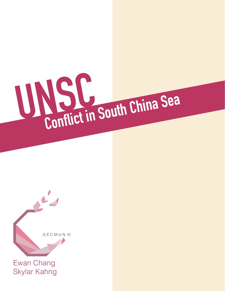

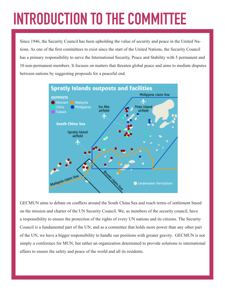# **INTRODUCTION TO THE COMMITTEE**

Since 1946, the Security Council has been upholding the value of security and peace in the United Nations. As one of the first committees to exist since the start of the United Nations, the Security Council has a primary responsibility to serve the International Security, Peace and Stability with 5 permanent and 10 non-permanent members. It focuses on matters that threaten global peace and aims to mediate disputes between nations by suggesting proposals for a peaceful end.



GECMUN aims to debate on conflicts around the South China Sea and reach terms of settlement based on the mission and charter of the UN Security Council. We, as members of the security council, have a responsibility to ensure the protection of the rights of every UN nations and its citizens. The Security Council is a fundamental part of the UN, and as a committee that holds more power than any other part of the UN, we have a bigger responsibility to handle our positions with greater gravity. GECMUN is not simply a conference for MUN, but rather an organization determined to provide solutions to international affairs to ensure the safety and peace of the world and all its residents.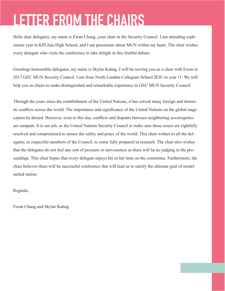## **LETTER FROM THE CHAIRS**

Hello dear delegates, my name is Ewan Chang, your chair in the Security Council. I am attending sophomore year in KIS Jeju High School, and I am passionate about MUN within my heart. The chair wishes every delegate who visits the conference to take delight in this fruitful debate.

Greetings honourable delegates, my name is Skylar Kahng. I will be serving you as a chair with Ewan in 2017 GEC MUN Security Council. I am from North London Collegiate School JEJU in year 11. We will help you as chairs to make distinguished and remarkable experience in GEC MUN Security Council.

Through the years since the establishment of the United Nations, it has solved many foreign and domestic conflicts across the world. The importance and significance of the United Nations on the global stage cannot be denied. However, even to this day, conflicts and disputes between neighboring sovereignties are rampant. It is our job, as the United Nations Security Council to make sure these issues are rightfully resolved and compromised to ensure the safety and peace of the world. This chair wishes to all the delegates, as respectful members of the Council, to come fully prepared in research. The chair also wishes that the delegates do not feel any sort of pressure or nervousness as there will be no judging in the proceedings. This chair hopes that every delegate enjoys his or her time on the committee. Furthermore, the chair believes there will be successful conference that will lead us to satisfy the ultimate goal of model united nation.

Regards,

Ewan Chang and Skylar Kahng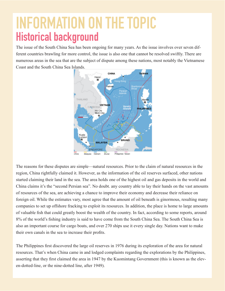## **INFORMATION ON THE TOPIC Historical background**

The issue of the South China Sea has been ongoing for many years. As the issue involves over seven different countries brawling for more control, the issue is also one that cannot be resolved swiftly. There are numerous areas in the sea that are the subject of dispute among these nations, most notably the Vietnamese Coast and the South China Sea Islands.



The reasons for these disputes are simple—natural resources. Prior to the claim of natural resources in the region, China rightfully claimed it. However, as the information of the oil reserves surfaced, other nations started claiming their land in the sea. The area holds one of the highest oil and gas deposits in the world and China claims it's the "second Persian sea". No doubt. any country able to lay their hands on the vast amounts of resources of the sea, are achieving a chance to improve their economy and decrease their reliance on foreign oil. While the estimates vary, most agree that the amount of oil beneath is ginormous, resulting many companies to set up offshore fracking to exploit its resources. In addition, the place is home to large amounts of valuable fish that could greatly boost the wealth of the country. In fact, according to some reports, around 8% of the world's fishing industry is said to have come from the South China Sea. The South China Sea is also an important course for cargo boats, and over 270 ships use it every single day. Nations want to make their own canals in the sea to increase their profits.

The Philippines first discovered the large oil reserves in 1976 during its exploration of the area for natural resources. That's when China came in and lodged complaints regarding the explorations by the Philippines, asserting that they first claimed the area in 1947 by the Kuomintang Government (this is known as the eleven-dotted-line, or the nine-dotted line, after 1949).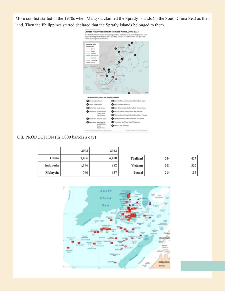More conflict started in the 1970s when Malaysia claimed the Spratly Islands (in the South China Sea) as their land. Then the Philippines started declared that the Spratly Islands belonged to them.



#### OIL PRODUCTION (in 1,000 barrels a day)

|                  | 2003  | 2013  |                 |     |     |
|------------------|-------|-------|-----------------|-----|-----|
| China            | 3,406 | 4,180 | <b>Thailand</b> | 244 | 457 |
| <b>Indonesia</b> | 1,176 | 882   | <b>Vietnam</b>  | 361 | 350 |
| <b>Malaysia</b>  | 760   | 657   | <b>Brunei</b>   | 214 | 135 |

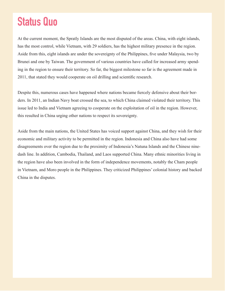### **Status Quo**

At the current moment, the Spratly Islands are the most disputed of the areas. China, with eight islands, has the most control, while Vietnam, with 29 soldiers, has the highest military presence in the region. Aside from this, eight islands are under the sovereignty of the Philippines, five under Malaysia, two by Brunei and one by Taiwan. The government of various countries have called for increased army spending in the region to ensure their territory. So far, the biggest milestone so far is the agreement made in 2011, that stated they would cooperate on oil drilling and scientific research.

Despite this, numerous cases have happened where nations became fiercely defensive about their borders. In 2011, an Indian Navy boat crossed the sea, to which China claimed violated their territory. This issue led to India and Vietnam agreeing to cooperate on the exploitation of oil in the region. However, this resulted in China urging other nations to respect its sovereignty.

Aside from the main nations, the United States has voiced support against China, and they wish for their economic and military activity to be permitted in the region. Indonesia and China also have had some disagreements over the region due to the proximity of Indonesia's Natuna Islands and the Chinese ninedash line. In addition, Cambodia, Thailand, and Laos supported China. Many ethnic minorities living in the region have also been involved in the form of independence movements, notably the Cham people in Vietnam, and Moro people in the Philippines. They criticized Philippines' colonial history and backed China in the disputes.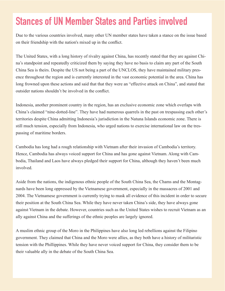#### **Stances of UN Member States and Parties involved**

Due to the various countries involved, many other UN member states have taken a stance on the issue based on their friendship with the nation's mixed up in the conflict.

The United States, with a long history of rivalry against China, has recently stated that they are against China's standpoint and repeatedly criticized them by saying they have no basis to claim any part of the South China Sea is theirs. Despite the US not being a part of the UNCLOS, they have maintained military presence throughout the region and is currently interested in the vast economic potential in the area. China has long frowned upon these actions and said that that they were an "effective attack on China", and stated that outsider nations shouldn't be involved in the conflict.

Indonesia, another prominent country in the region, has an exclusive economic zone which overlaps with China's claimed "nine-dotted-line". They have had numerous quarrels in the past on trespassing each other's territories despite China admitting Indonesia's jurisdiction in the Natuna Islands economic zone. There is still much tension, especially from Indonesia, who urged nations to exercise international law on the trespassing of maritime borders.

Cambodia has long had a rough relationship with Vietnam after their invasion of Cambodia's territory. Hence, Cambodia has always voiced support for China and has gone against Vietnam. Along with Cambodia, Thailand and Laos have always pledged their support for China, although they haven't been much involved.

Aside from the nations, the indigenous ethnic people of the South China Sea, the Chams and the Montagnards have been long oppressed by the Vietnamese government, especially in the massacres of 2001 and 2004. The Vietnamese government is currently trying to mask all evidence of this incident in order to secure their position at the South China Sea. While they have never taken China's side, they have always gone against Vietnam in the debate. However, countries such as the United States wishes to recruit Vietnam as an ally against China and the sufferings of the ethnic peoples are largely ignored.

A muslim ethnic group of the Moro in the Philippines have also long led rebellions against the Filipino government. They claimed that China and the Moro were allies, as they both have a history of militaristic tension with the Phillippines. While they have never voiced support for China, they consider them to be their valuable ally in the debate of the South China Sea.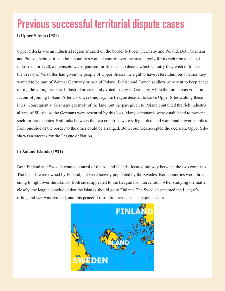## **Previous successful territorial dispute cases**

#### **i) Upper Silesia (1921)**

Upper Silesia was an industrial region situated on the border between Germany and Poland. Both Germans and Poles inhabited it, and both countries wanted control over the area, largely for its rich iron and steel industries. In 1920, a plebiscite was organised for Silesians to decide which country they wish to foin as the Treaty of Versailles had given the people of Upper Silesia the right to have referendum on whether they wanted to be part of Weimar Germany or part of Poland. British and French soldiers were sent to keep peace during the voting process. Industrial areas mainly voted to stay in Germany, while the rural areas voted in favour of joining Poland. After a six-week inquiry, the League decided to carve Upper Silesia along these lines. Consequently, Germany got most of the land, but the part given to Poland contained the rich industrial area of Silesia, so the Germans were resentful by this loss. Many safeguards were established to prevent such further disputes. Rail links between the two countries were safeguarded, and water and power supplies from one side of the border to the other could be arranged. Both countries accepted the decision. Upper Silesia was a success for the League of Nation.

#### **ii) Aaland Islands (1921)**

Both Finland and Sweden wanted control of the Aaland Islands, located midway between the two countries. The Islands were owned by Finland, but were heavily populated by the Swedes. Both countries were threatening to fight over the islands. Both sides appealed to the League for intervention. After studying the matter closely, the league concluded that the islands should go to Finland. The Swedish accepted the League's ruling and war was avoided, and this peaceful resolution was seen as major success.

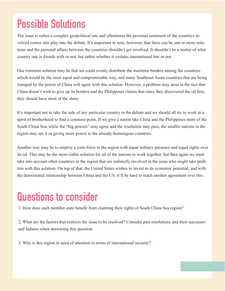## **Possible Solutions**

The issue is rather a complex geopolitical one and oftentimes the personal sentiment of the countries involved comes into play into the debate. It's important to note, however, that there can be one or more solutions and the personal affairs between the countries shouldn't get involved. It shouldn't be a matter of what country one is friends with or not, but rather whether it violates international law or not.

One common solution may be that we could evenly distribute the maritime borders among the countries which would be the most equal and compromisable way, and many Southeast Asian countries that are being trumped by the power of China will agree with this solution. However, a problem may arise in the fact that China doesn't wish to give up its borders and the Philippines claims that since they discovered the oil first, they should have most of the share.

It's important not to take the side of any particular country in the debate and we should all try to work in a spirit of brotherhood to find a common point. If we give a nation like China and the Philippines more of the South China Sea, while the "big powers" may agree and the resolution may pass, the smaller nations in the region may see it as giving more power to the already-humongous countries.

Another way may be to employ a joint-force in the region with equal military presence and equal rights over its oil. This may be the most viable solution for all of the nations to work together, but then again we must take into account other countries in the region that are indirectly involved in the issue who might take problem with this solution. On top of that, the United States wishes to invest in its economic potential, and with the deteriorated relationship between China and the US, it'll be hard to reach another agreement over this.

### **Questions to consider**

1. How does each member state benefit from claiming their rights of South China Sea region?

2. What are the factors that restricts the issue to be resolved? Consider past resolutions and their successes and failures when answering this question.

3. Why is this region in need of attention in terms of international security?